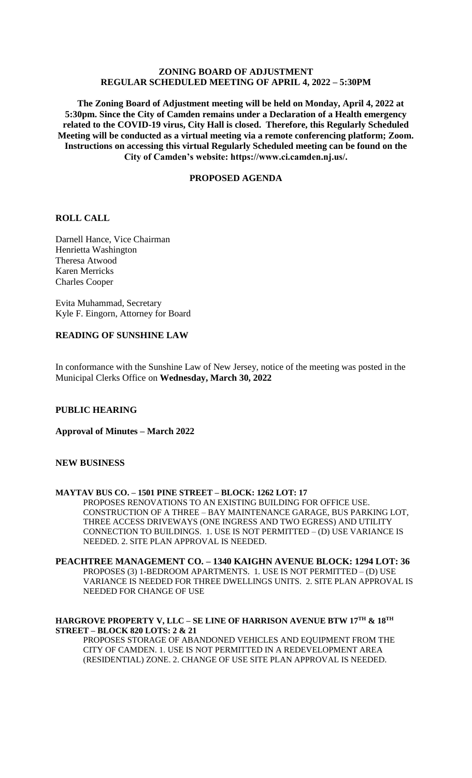# **ZONING BOARD OF ADJUSTMENT REGULAR SCHEDULED MEETING OF APRIL 4, 2022 – 5:30PM**

 **The Zoning Board of Adjustment meeting will be held on Monday, April 4, 2022 at 5:30pm. Since the City of Camden remains under a Declaration of a Health emergency related to the COVID-19 virus, City Hall is closed. Therefore, this Regularly Scheduled Meeting will be conducted as a virtual meeting via a remote conferencing platform; Zoom. Instructions on accessing this virtual Regularly Scheduled meeting can be found on the City of Camden's website: https://www.ci.camden.nj.us/.**

## **PROPOSED AGENDA**

## **ROLL CALL**

Darnell Hance, Vice Chairman Henrietta Washington Theresa Atwood Karen Merricks Charles Cooper

Evita Muhammad, Secretary Kyle F. Eingorn, Attorney for Board

# **READING OF SUNSHINE LAW**

In conformance with the Sunshine Law of New Jersey, notice of the meeting was posted in the Municipal Clerks Office on **Wednesday, March 30, 2022**

## **PUBLIC HEARING**

**Approval of Minutes – March 2022** 

## **NEW BUSINESS**

#### **MAYTAV BUS CO. – 1501 PINE STREET – BLOCK: 1262 LOT: 17**

PROPOSES RENOVATIONS TO AN EXISTING BUILDING FOR OFFICE USE. CONSTRUCTION OF A THREE – BAY MAINTENANCE GARAGE, BUS PARKING LOT, THREE ACCESS DRIVEWAYS (ONE INGRESS AND TWO EGRESS) AND UTILITY CONNECTION TO BUILDINGS. 1. USE IS NOT PERMITTED – (D) USE VARIANCE IS NEEDED. 2. SITE PLAN APPROVAL IS NEEDED.

# **PEACHTREE MANAGEMENT CO. – 1340 KAIGHN AVENUE BLOCK: 1294 LOT: 36** PROPOSES (3) 1-BEDROOM APARTMENTS. 1. USE IS NOT PERMITTED – (D) USE

VARIANCE IS NEEDED FOR THREE DWELLINGS UNITS. 2. SITE PLAN APPROVAL IS NEEDED FOR CHANGE OF USE

## **HARGROVE PROPERTY V, LLC – SE LINE OF HARRISON AVENUE BTW 17TH & 18TH STREET – BLOCK 820 LOTS: 2 & 21**

PROPOSES STORAGE OF ABANDONED VEHICLES AND EQUIPMENT FROM THE CITY OF CAMDEN. 1. USE IS NOT PERMITTED IN A REDEVELOPMENT AREA (RESIDENTIAL) ZONE. 2. CHANGE OF USE SITE PLAN APPROVAL IS NEEDED.